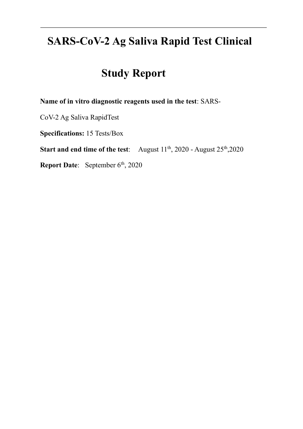# **SARS-CoV-2 Ag Saliva Rapid Test Clinical**

# **Study Report**

**Name of in vitro diagnostic reagents used in the test**: SARS-

CoV-2 Ag Saliva RapidTest

**Specifications:** 15 Tests/Box

**Start and end time of the test:** August  $11^{th}$ , 2020 - August  $25^{th}$ , 2020

**Report Date:** September 6<sup>th</sup>, 2020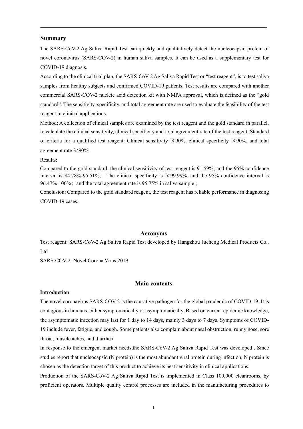### **Summary**

The SARS-CoV-2 Ag Saliva Rapid Test can quickly and qualitatively detect the nucleocapsid protein of novel coronavirus (SARS-COV-2) in human saliva samples. It can be used as a supplementary test for COVID-19 diagnosis.

According to the clinical trial plan, the SARS-CoV-2 Ag Saliva Rapid Test or "test reagent", is to test saliva samples from healthy subjects and confirmed COVID-19 patients. Test results are compared with another commercial SARS-COV-2 nucleic acid detection kit with NMPA approval, which is defined as the "gold standard". The sensitivity, specificity, and total agreement rate are used to evaluate the feasibility of the test reagent in clinical applications.

Method: A collection of clinical samples are examined by the test reagent and the gold standard in parallel, to calculate the clinical sensitivity, clinical specificity and total agreement rate of the test reagent. Standard of criteria for a qualified test reagent: Clinical sensitivity ≥90%, clinical specificity ≥90%, and total agreement rate  $\geq 90\%$ .

#### Results:

Compared to the gold standard, the clinical sensitivity of test reagent is 91.59%, and the 95% confidence interval is  $84.78\% - 95.51\%$ ; The clinical specificity is  $\geq 99.99\%$ , and the 95% confidence interval is 96.47%-100%; and the total agreement rate is 95.75% in saliva sample ;

Conclusion: Compared to the gold standard reagent, the test reagent has reliable performance in diagnosing COVID-19 cases.

#### **Acronyms**

Test reagent: SARS-CoV-2 Ag Saliva Rapid Test developed by Hangzhou Jucheng Medical Products Co., Ltd

SARS-COV-2: Novel Corona Virus 2019

## **Main contents**

## **Introduction**

The novel coronavirus SARS-COV-2 is the causative pathogen for the global pandemic of COVID-19. It is contagious in humans, either symptomatically or asymptomatically. Based on current epidemic knowledge, the asymptomatic infection may last for 1 day to 14 days, mainly 3 days to 7 days. Symptoms of COVID-19 include fever, fatigue, and cough. Some patients also complain about nasal obstruction, runny nose, sore throat, muscle aches, and diarrhea.

In response to the emergent market needs,the SARS-CoV-2 Ag Saliva Rapid Test was developed . Since studies report that nucleocapsid (N protein) is the most abundant viral protein during infection, N protein is chosen as the detection target of this product to achieve its best sensitivity in clinical applications.

Production of the SARS-CoV-2 Ag Saliva Rapid Test is implemented in Class 100,000 cleanrooms, by proficient operators. Multiple quality control processes are included in the manufacturing procedures to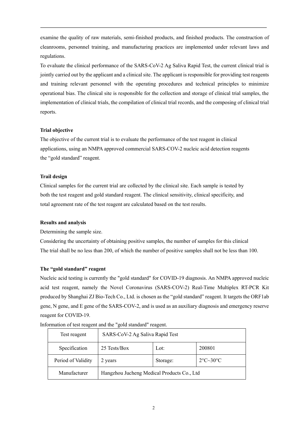examine the quality of raw materials, semi-finished products, and finished products. The construction of cleanrooms, personnel training, and manufacturing practices are implemented under relevant laws and regulations.

To evaluate the clinical performance of the SARS-CoV-2 Ag Saliva Rapid Test, the current clinical trial is jointly carried out by the applicant and a clinical site. The applicant is responsible for providing test reagents and training relevant personnel with the operating procedures and technical principles to minimize operational bias. The clinical site is responsible for the collection and storage of clinical trial samples, the implementation of clinical trials, the compilation of clinical trial records, and the composing of clinical trial reports.

## **Trial objective**

The objective of the current trial is to evaluate the performance of the test reagent in clinical applications, using an NMPA approved commercial SARS-COV-2 nucleic acid detection reagents the "gold standard" reagent.

## **Trail design**

Clinical samples for the current trial are collected by the clinical site. Each sample is tested by both the test reagent and gold standard reagent. The clinical sensitivity, clinical specificity, and total agreement rate of the test reagent are calculated based on the test results.

## **Results and analysis**

Determining the sample size.

Considering the uncertainty of obtaining positive samples, the number of samples for this clinical The trial shall be no less than 200, of which the number of positive samples shall not be less than 100.

# **The "gold standard" reagent**

Nucleic acid testing is currently the "gold standard" for COVID-19 diagnosis. An NMPA approved nucleic acid test reagent, namely the Novel Coronavirus (SARS-COV-2) Real-Time Multiplex RT-PCR Kit produced by Shanghai ZJ Bio-Tech Co., Ltd. is chosen as the "gold standard" reagent. It targets the ORF1ab gene, N gene, and E gene of the SARS-COV-2, and is used as an auxiliary diagnosis and emergency reserve reagent for COVID-19.

| Test reagent       | SARS-CoV-2 Ag Saliva Rapid Test                      |  |  |  |
|--------------------|------------------------------------------------------|--|--|--|
| Specification      | 25 Tests/Box<br>200801<br>Lot:                       |  |  |  |
| Period of Validity | $2^{\circ}C \sim 30^{\circ}C$<br>Storage:<br>2 years |  |  |  |
| Manufacturer       | Hangzhou Jucheng Medical Products Co., Ltd           |  |  |  |

Information of test reagent and the "gold standard" reagent.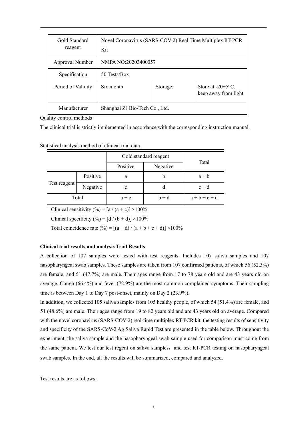| Gold Standard<br>reagent | Novel Coronavirus (SARS-COV-2) Real Time Multiplex RT-PCR<br>Kit |          |                                                         |
|--------------------------|------------------------------------------------------------------|----------|---------------------------------------------------------|
| Approval Number          | NMPA NO:20203400057                                              |          |                                                         |
| Specification            | 50 Tests/Box                                                     |          |                                                         |
| Period of Validity       | Six month                                                        | Storage: | Store at $-20 \pm 5^{\circ}C$ ,<br>keep away from light |
| Manufacturer             | Shanghai ZJ Bio-Tech Co., Ltd.                                   |          |                                                         |

Quality control methods

The clinical trial is strictly implemented in accordance with the corresponding instruction manual.

| Statistical analysis method of clinical trial data |  |  |  |  |  |
|----------------------------------------------------|--|--|--|--|--|
|----------------------------------------------------|--|--|--|--|--|

|              |          | Gold standard reagent |          |           |
|--------------|----------|-----------------------|----------|-----------|
|              |          | Positive              | Negative | Total     |
| Test reagent | Positive | a                     | b        | $a + b$   |
|              | Negative | c                     | d        | $c + d$   |
| Total        |          | $a + c$               | $b + d$  | $a+b+c+d$ |

Clinical sensitivity  $(\% ) = [a / (a + c)] \times 100\%$ 

Clinical specificity  $(\%)=$  [d / (b + d)]  $\times$ 100%

Total coincidence rate  $(\% ) = [(a + d) / (a + b + c + d)] \times 100\%$ 

#### **Clinical trial results and analysis Trail Results**

A collection of 107 samples were tested with test reagents. Includes 107 saliva samples and 107 nasopharyngeal swab samples. These samples are taken from 107 confirmed patients, of which 56 (52.3%) are female, and 51 (47.7%) are male. Their ages range from 17 to 78 years old and are 43 years old on average. Cough (66.4%) and fever (72.9%) are the most common complained symptoms. Their sampling time is between Day 1 to Day 7 post-onset, mainly on Day 2 (23.9%).

In addition, we collected 105 saliva samples from 105 healthy people, of which 54 (51.4%) are female, and 51 (48.6%) are male. Their ages range from 19 to 82 years old and are 43 years old on average. Compared with the novel coronavirus (SARS-COV-2) real-time multiplex RT-PCR kit, the testing results of sensitivity and specificity of the SARS-CoV-2 Ag Saliva Rapid Test are presented in the table below. Throughout the experiment, the saliva sample and the nasopharyngeal swab sample used for comparison must come from the same patient. We test our test regent on saliva samples, and test RT-PCR testing on nasopharyngeal swab samples. In the end, all the results will be summarized, compared and analyzed.

Test results are as follows: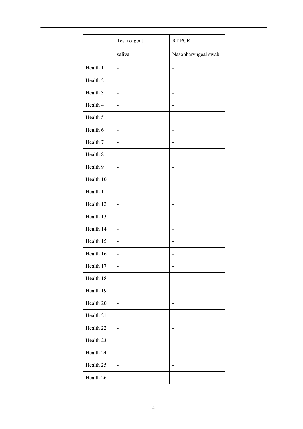|                      | Test reagent             | RT-PCR              |
|----------------------|--------------------------|---------------------|
|                      | saliva                   | Nasopharyngeal swab |
| Health 1             | $\overline{a}$           |                     |
| Health <sub>2</sub>  | -                        |                     |
| Health 3             |                          |                     |
| Health 4             | -                        |                     |
| Health 5             | $\overline{a}$           |                     |
| Health 6             | $\overline{\phantom{a}}$ |                     |
| Health 7             | $\overline{a}$           |                     |
| Health 8             | ÷,                       |                     |
| Health 9             | -                        |                     |
| Health 10            | -                        |                     |
| Health 11            | ÷,                       |                     |
| Health 12            | -                        |                     |
| Health 13            | -                        |                     |
| Health 14            | -                        | ۰                   |
| Health 15            | -                        |                     |
| Health 16            | -                        |                     |
| Health 17            | -                        | ۰                   |
| Health 18            | -                        |                     |
| Health 19            | -                        |                     |
| Health 20            | -                        |                     |
| Health 21            | -                        |                     |
| Health <sub>22</sub> | -                        |                     |
| Health 23            | -                        |                     |
| Health 24            | $\overline{a}$           |                     |
| Health 25            | -                        |                     |
| Health 26            | $\overline{\phantom{0}}$ | ٠                   |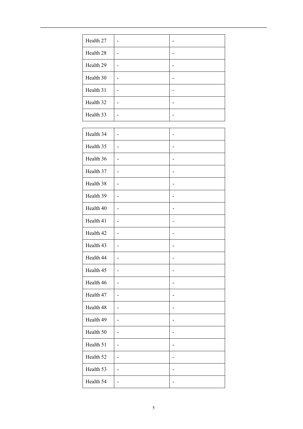| Health 27 |  |
|-----------|--|
| Health 28 |  |
| Health 29 |  |
| Health 30 |  |
| Health 31 |  |
| Health 32 |  |
| Health 33 |  |

| Health 34 | $\overline{\phantom{0}}$     |    |
|-----------|------------------------------|----|
| Health 35 | $\overline{a}$               |    |
| Health 36 |                              |    |
| Health 37 | L,                           |    |
| Health 38 | $\qquad \qquad \blacksquare$ |    |
| Health 39 | $\overline{a}$               |    |
| Health 40 | $\overline{a}$               |    |
| Health 41 | $\overline{a}$               |    |
| Health 42 | $\overline{a}$               |    |
| Health 43 | L,                           |    |
| Health 44 | $\overline{a}$               |    |
| Health 45 | $\overline{a}$               |    |
| Health 46 | $\overline{a}$               | L, |
| Health 47 | $\overline{a}$               |    |
| Health 48 | $\overline{a}$               |    |
| Health 49 |                              |    |
| Health 50 | $\overline{\phantom{0}}$     |    |
| Health 51 | $\overline{\phantom{0}}$     | ٠  |
| Health 52 | $\overline{a}$               | L, |
| Health 53 | $\overline{a}$               |    |
| Health 54 | L,                           |    |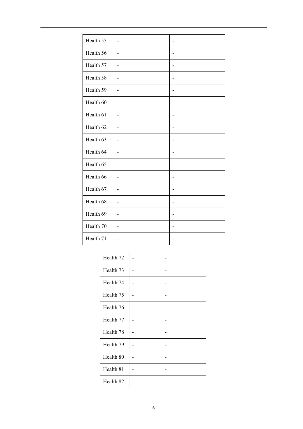| Health 55 | ٠  |  |
|-----------|----|--|
| Health 56 | -  |  |
| Health 57 |    |  |
| Health 58 | -  |  |
| Health 59 |    |  |
| Health 60 |    |  |
| Health 61 | ۰  |  |
| Health 62 |    |  |
| Health 63 |    |  |
| Health 64 |    |  |
| Health 65 | -  |  |
| Health 66 | L, |  |
| Health 67 | ۰  |  |
| Health 68 | ۰  |  |
| Health 69 | ۳  |  |
| Health 70 | ۳  |  |
| Health 71 |    |  |

| Health <sub>72</sub> |  |
|----------------------|--|
| Health <sub>73</sub> |  |
| Health 74            |  |
| Health 75            |  |
| Health 76            |  |
| Health 77            |  |
| Health 78            |  |
| Health 79            |  |
| Health 80            |  |
| Health 81            |  |
| Health 82            |  |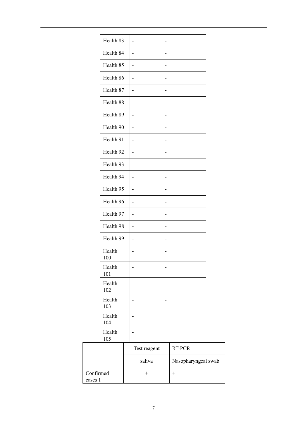|                      | Health 83 |                          |              |                          |                     |  |
|----------------------|-----------|--------------------------|--------------|--------------------------|---------------------|--|
|                      | Health 84 | -                        |              |                          |                     |  |
|                      | Health 85 | -                        |              | $\overline{a}$           |                     |  |
|                      | Health 86 | -                        |              |                          |                     |  |
|                      | Health 87 | ÷,                       |              |                          |                     |  |
|                      | Health 88 | -                        |              |                          |                     |  |
|                      | Health 89 | ۰                        |              |                          |                     |  |
|                      | Health 90 | -                        |              |                          |                     |  |
|                      | Health 91 | -                        |              |                          |                     |  |
|                      | Health 92 | -                        |              |                          |                     |  |
|                      | Health 93 |                          |              |                          |                     |  |
|                      | Health 94 | -                        |              |                          |                     |  |
|                      | Health 95 | ٠                        |              |                          |                     |  |
|                      | Health 96 | $\overline{\phantom{0}}$ |              | ٠                        |                     |  |
|                      | Health 97 | $\overline{\phantom{0}}$ |              | $\overline{\phantom{0}}$ |                     |  |
|                      | Health 98 | $\overline{\phantom{0}}$ |              |                          |                     |  |
|                      | Health 99 | $\overline{\phantom{0}}$ |              | -                        |                     |  |
| 100                  | Health    |                          |              |                          |                     |  |
| 101                  | Health    |                          |              |                          |                     |  |
| 102                  | Health    |                          |              |                          |                     |  |
| 103                  | Health    |                          |              |                          |                     |  |
| 104                  | Health    |                          |              |                          |                     |  |
| 105                  | Health    |                          |              |                          |                     |  |
|                      |           |                          | Test reagent |                          | RT-PCR              |  |
|                      |           |                          | saliva       |                          | Nasopharyngeal swab |  |
| Confirmed<br>cases 1 |           |                          | $^{+}$       |                          | $\ddot{}$           |  |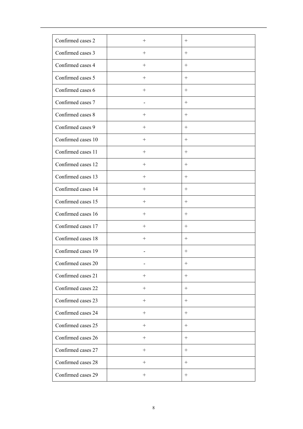| Confirmed cases 2  | $+$    | $+$    |
|--------------------|--------|--------|
| Confirmed cases 3  | $^{+}$ | $^{+}$ |
| Confirmed cases 4  | $+$    | $+$    |
| Confirmed cases 5  | $+$    | $+$    |
| Confirmed cases 6  | $^{+}$ | $^{+}$ |
| Confirmed cases 7  |        | $+$    |
| Confirmed cases 8  | $^{+}$ | $^{+}$ |
| Confirmed cases 9  | $^{+}$ | $^{+}$ |
| Confirmed cases 10 | $+$    | $^{+}$ |
| Confirmed cases 11 | $+$    | $+$    |
| Confirmed cases 12 | $+$    | $+$    |
| Confirmed cases 13 | $^{+}$ | $^{+}$ |
| Confirmed cases 14 | $+$    | $+$    |
| Confirmed cases 15 | $^{+}$ |        |
| Confirmed cases 16 | $^{+}$ |        |
| Confirmed cases 17 | $^{+}$ | $+$    |
| Confirmed cases 18 | $^+$   | $^{+}$ |
| Confirmed cases 19 |        | $^{+}$ |
| Confirmed cases 20 |        |        |
| Confirmed cases 21 | $+$    | $+$    |
| Confirmed cases 22 | $+$    | $+$    |
| Confirmed cases 23 | $^{+}$ | $^{+}$ |
| Confirmed cases 24 | $+$    | $+$    |
| Confirmed cases 25 | $^{+}$ | $^{+}$ |
| Confirmed cases 26 | $+$    | $+$    |
| Confirmed cases 27 | $^{+}$ | $^{+}$ |
| Confirmed cases 28 | $^{+}$ | $^{+}$ |
| Confirmed cases 29 | $+$    | $^{+}$ |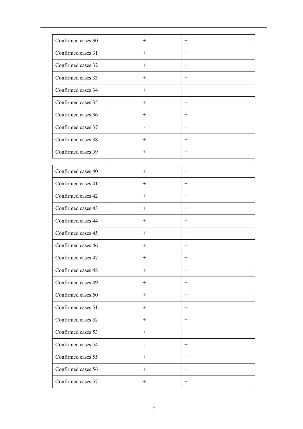| Confirmed cases 30 | $+$              | $+$              |
|--------------------|------------------|------------------|
| Confirmed cases 31 | $+$              | $^{+}$           |
| Confirmed cases 32 | $+$              | $+$              |
| Confirmed cases 33 | $^{+}$           | $^{+}$           |
| Confirmed cases 34 | $^+$             | $^{+}$           |
| Confirmed cases 35 | $+$              | $+$              |
| Confirmed cases 36 | $+$              | $+$              |
| Confirmed cases 37 |                  | $+$              |
| Confirmed cases 38 | $+$              | $+$              |
| Confirmed cases 39 | $+$              | $^{+}$           |
|                    |                  |                  |
| Confirmed cases 40 | $^{+}$           | $^{+}$           |
| Confirmed cases 41 | $+$              | $+$              |
| Confirmed cases 42 | $\boldsymbol{+}$ | $+$              |
| Confirmed cases 43 | $\boldsymbol{+}$ | $\boldsymbol{+}$ |
| Confirmed cases 44 | $+$              | $^{+}$           |
| Confirmed cases 45 | $\boldsymbol{+}$ | $\boldsymbol{+}$ |
| Confirmed cases 46 | $^{+}$           | $+$              |
| Confirmed cases 47 | $+$              | $+$              |
| Confirmed cases 48 | $^{+}$           | $^{+}$           |
| Confirmed cases 49 | $^{+}$           | $^{+}$           |
| Confirmed cases 50 | $+$              | $^{+}$           |
| Confirmed cases 51 | $+$              | $+$              |
| Confirmed cases 52 | $\boldsymbol{+}$ | $+$              |
| Confirmed cases 53 | $+$              | $^{+}$           |
| Confirmed cases 54 |                  | $^{+}$           |
| Confirmed cases 55 | $+$              | $+$              |
| Confirmed cases 56 |                  | $+$              |
| Confirmed cases 57 | $+$              | $^{+}$           |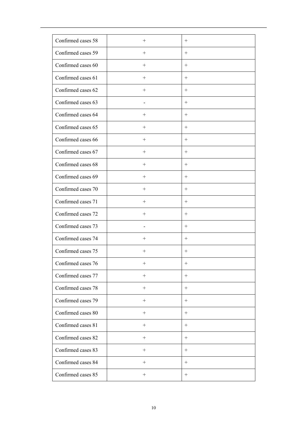| Confirmed cases 58 | $^{+}$ | $+$    |
|--------------------|--------|--------|
| Confirmed cases 59 | $+$    | $+$    |
| Confirmed cases 60 | $^{+}$ | $^{+}$ |
| Confirmed cases 61 | $^{+}$ | $^{+}$ |
| Confirmed cases 62 | $+$    | $+$    |
| Confirmed cases 63 |        | $^{+}$ |
| Confirmed cases 64 | $^{+}$ | $+$    |
| Confirmed cases 65 | $^{+}$ | $^{+}$ |
| Confirmed cases 66 | $^{+}$ | $^{+}$ |
| Confirmed cases 67 | $^{+}$ | $^{+}$ |
| Confirmed cases 68 | $^{+}$ | $+$    |
| Confirmed cases 69 | $+$    | $+$    |
| Confirmed cases 70 | $+$    | $^{+}$ |
| Confirmed cases 71 | $+$    | $+$    |
| Confirmed cases 72 | $+$    | $+$    |
| Confirmed cases 73 |        |        |
| Confirmed cases 74 | $^+$   | $+$    |
| Confirmed cases 75 | $^+$   | $^{+}$ |
| Confirmed cases 76 |        |        |
| Confirmed cases 77 | $+$    | $+$    |
| Confirmed cases 78 | $^{+}$ | $+$    |
| Confirmed cases 79 | $+$    | $+$    |
| Confirmed cases 80 | $^{+}$ | $^{+}$ |
| Confirmed cases 81 | $^{+}$ | $^{+}$ |
| Confirmed cases 82 | $+$    | $+$    |
| Confirmed cases 83 | $^{+}$ | $^{+}$ |
| Confirmed cases 84 | $^{+}$ | $+$    |
| Confirmed cases 85 | $^{+}$ | $^{+}$ |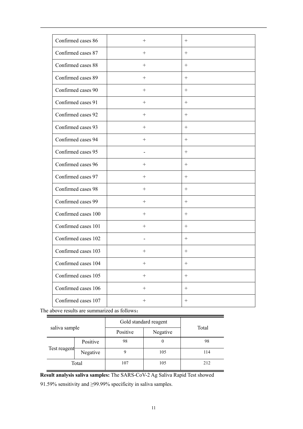| Confirmed cases 86  | $+$                | $^{+}$             |
|---------------------|--------------------|--------------------|
| Confirmed cases 87  | $^{+}$             | $^{+}$             |
| Confirmed cases 88  | $+$                | $+$                |
| Confirmed cases 89  | $+$                | $+$                |
| Confirmed cases 90  | $^{+}$             | $^{+}$             |
| Confirmed cases 91  | $+$                | $+$                |
| Confirmed cases 92  | $^{+}$             | $^{+}$             |
| Confirmed cases 93  | $+$                | $^{+}$             |
| Confirmed cases 94  | $^{+}$             | $^{+}$             |
| Confirmed cases 95  |                    | $\hspace{0.1mm} +$ |
| Confirmed cases 96  | $+$                | $^{+}$             |
| Confirmed cases 97  | $^{+}$             | $^{+}$             |
| Confirmed cases 98  | $+$                | $+$                |
| Confirmed cases 99  | $+$                | $+$                |
| Confirmed cases 100 | $^{+}$             | $^{+}$             |
| Confirmed cases 101 | $+$                | $+$                |
| Confirmed cases 102 |                    | $^{+}$             |
| Confirmed cases 103 | $\hspace{0.1mm} +$ | $+$                |
| Confirmed cases 104 | $\hspace{0.1mm} +$ | $^+$               |
| Confirmed cases 105 |                    | $^{+}$             |
| Confirmed cases 106 | $+$                | $^{+}$             |
| Confirmed cases 107 |                    | $+$                |

The above results are summarized as follows:

| saliva sample |          | Gold standard reagent |          |       |
|---------------|----------|-----------------------|----------|-------|
|               |          | Positive              | Negative | Total |
| Test reagent  | Positive | 98                    | $\theta$ | 98    |
|               | Negative |                       | 105      | 114   |
| Total         |          | 107                   | 105      | 212   |

**Result analysis saliva samples:** The SARS-CoV-2 Ag Saliva Rapid Test showed

91.59% sensitivity and ≥99.99% specificity in saliva samples.